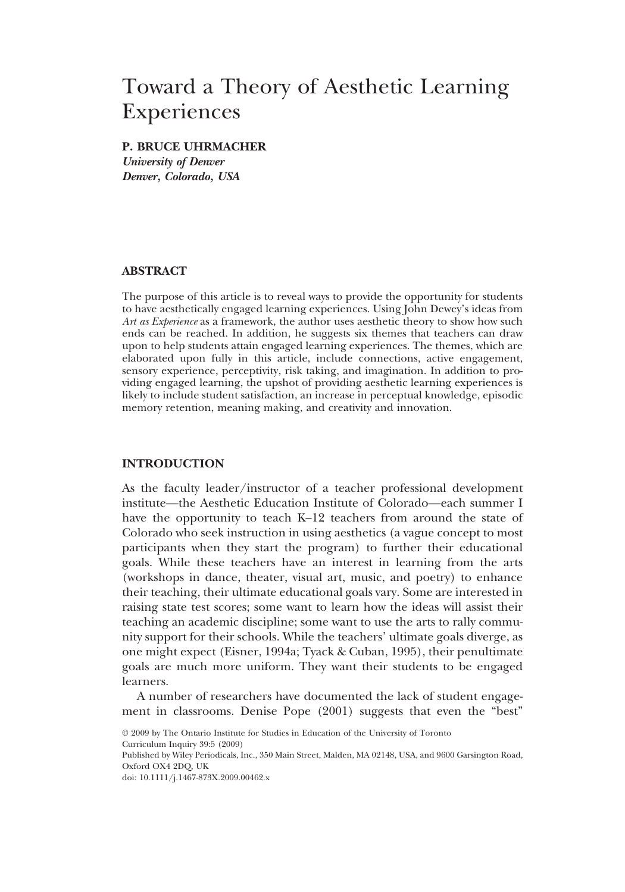# Toward a Theory of Aesthetic Learning **Experiences**

# **P. BRUCE UHRMACHER**

*University of Denver Denver, Colorado, USA*

## **ABSTRACT**

The purpose of this article is to reveal ways to provide the opportunity for students to have aesthetically engaged learning experiences. Using John Dewey's ideas from *Art as Experience* as a framework, the author uses aesthetic theory to show how such ends can be reached. In addition, he suggests six themes that teachers can draw upon to help students attain engaged learning experiences. The themes, which are elaborated upon fully in this article, include connections, active engagement, sensory experience, perceptivity, risk taking, and imagination. In addition to providing engaged learning, the upshot of providing aesthetic learning experiences is likely to include student satisfaction, an increase in perceptual knowledge, episodic memory retention, meaning making, and creativity and innovation.

## **INTRODUCTION**

As the faculty leader/instructor of a teacher professional development institute—the Aesthetic Education Institute of Colorado—each summer I have the opportunity to teach K–12 teachers from around the state of Colorado who seek instruction in using aesthetics (a vague concept to most participants when they start the program) to further their educational goals. While these teachers have an interest in learning from the arts (workshops in dance, theater, visual art, music, and poetry) to enhance their teaching, their ultimate educational goals vary. Some are interested in raising state test scores; some want to learn how the ideas will assist their teaching an academic discipline; some want to use the arts to rally community support for their schools. While the teachers' ultimate goals diverge, as one might expect (Eisner, 1994a; Tyack & Cuban, 1995), their penultimate goals are much more uniform. They want their students to be engaged learners.

A number of researchers have documented the lack of student engagement in classrooms. Denise Pope (2001) suggests that even the "best"

<sup>© 2009</sup> by The Ontario Institute for Studies in Education of the University of Toronto Curriculum Inquiry 39:5 (2009)

Published by Wiley Periodicals, Inc., 350 Main Street, Malden, MA 02148, USA, and 9600 Garsington Road, Oxford OX4 2DQ, UK

doi: 10.1111/j.1467-873X.2009.00462.x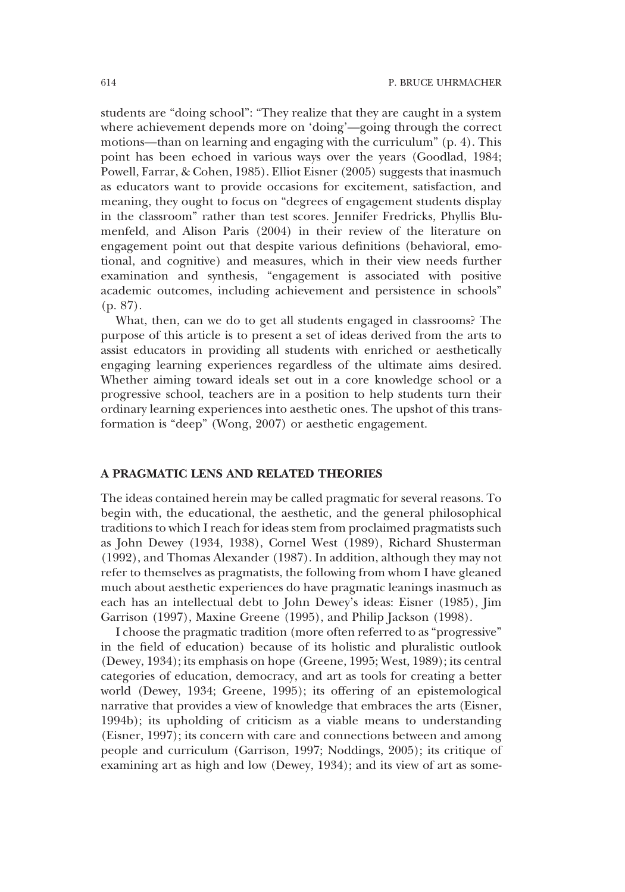students are "doing school": "They realize that they are caught in a system where achievement depends more on 'doing'—going through the correct motions—than on learning and engaging with the curriculum" (p. 4). This point has been echoed in various ways over the years (Goodlad, 1984; Powell, Farrar, & Cohen, 1985). Elliot Eisner (2005) suggests that inasmuch as educators want to provide occasions for excitement, satisfaction, and meaning, they ought to focus on "degrees of engagement students display in the classroom" rather than test scores. Jennifer Fredricks, Phyllis Blumenfeld, and Alison Paris (2004) in their review of the literature on engagement point out that despite various definitions (behavioral, emotional, and cognitive) and measures, which in their view needs further examination and synthesis, "engagement is associated with positive academic outcomes, including achievement and persistence in schools" (p. 87).

What, then, can we do to get all students engaged in classrooms? The purpose of this article is to present a set of ideas derived from the arts to assist educators in providing all students with enriched or aesthetically engaging learning experiences regardless of the ultimate aims desired. Whether aiming toward ideals set out in a core knowledge school or a progressive school, teachers are in a position to help students turn their ordinary learning experiences into aesthetic ones. The upshot of this transformation is "deep" (Wong, 2007) or aesthetic engagement.

# **A PRAGMATIC LENS AND RELATED THEORIES**

The ideas contained herein may be called pragmatic for several reasons. To begin with, the educational, the aesthetic, and the general philosophical traditions to which I reach for ideas stem from proclaimed pragmatists such as John Dewey (1934, 1938), Cornel West (1989), Richard Shusterman (1992), and Thomas Alexander (1987). In addition, although they may not refer to themselves as pragmatists, the following from whom I have gleaned much about aesthetic experiences do have pragmatic leanings inasmuch as each has an intellectual debt to John Dewey's ideas: Eisner (1985), Jim Garrison (1997), Maxine Greene (1995), and Philip Jackson (1998).

I choose the pragmatic tradition (more often referred to as "progressive" in the field of education) because of its holistic and pluralistic outlook (Dewey, 1934); its emphasis on hope (Greene, 1995; West, 1989); its central categories of education, democracy, and art as tools for creating a better world (Dewey, 1934; Greene, 1995); its offering of an epistemological narrative that provides a view of knowledge that embraces the arts (Eisner, 1994b); its upholding of criticism as a viable means to understanding (Eisner, 1997); its concern with care and connections between and among people and curriculum (Garrison, 1997; Noddings, 2005); its critique of examining art as high and low (Dewey, 1934); and its view of art as some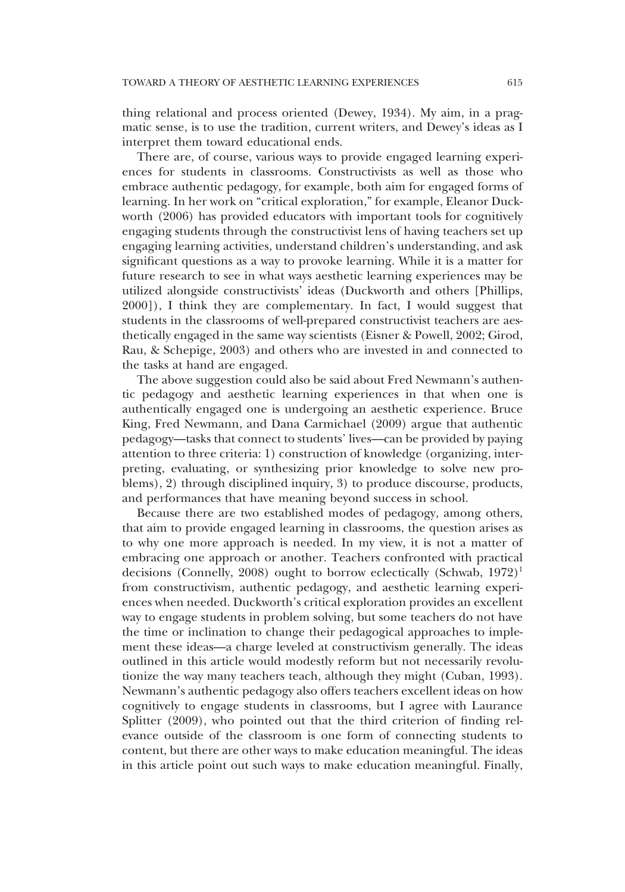thing relational and process oriented (Dewey, 1934). My aim, in a pragmatic sense, is to use the tradition, current writers, and Dewey's ideas as I interpret them toward educational ends.

There are, of course, various ways to provide engaged learning experiences for students in classrooms. Constructivists as well as those who embrace authentic pedagogy, for example, both aim for engaged forms of learning. In her work on "critical exploration," for example, Eleanor Duckworth (2006) has provided educators with important tools for cognitively engaging students through the constructivist lens of having teachers set up engaging learning activities, understand children's understanding, and ask significant questions as a way to provoke learning. While it is a matter for future research to see in what ways aesthetic learning experiences may be utilized alongside constructivists' ideas (Duckworth and others [Phillips, 2000]), I think they are complementary. In fact, I would suggest that students in the classrooms of well-prepared constructivist teachers are aesthetically engaged in the same way scientists (Eisner & Powell, 2002; Girod, Rau, & Schepige, 2003) and others who are invested in and connected to the tasks at hand are engaged.

The above suggestion could also be said about Fred Newmann's authentic pedagogy and aesthetic learning experiences in that when one is authentically engaged one is undergoing an aesthetic experience. Bruce King, Fred Newmann, and Dana Carmichael (2009) argue that authentic pedagogy—tasks that connect to students' lives—can be provided by paying attention to three criteria: 1) construction of knowledge (organizing, interpreting, evaluating, or synthesizing prior knowledge to solve new problems), 2) through disciplined inquiry, 3) to produce discourse, products, and performances that have meaning beyond success in school.

Because there are two established modes of pedagogy, among others, that aim to provide engaged learning in classrooms, the question arises as to why one more approach is needed. In my view, it is not a matter of embracing one approach or another. Teachers confronted with practical decisions (Connelly, 2008) ought to borrow eclectically (Schwab,  $1972$ )<sup>1</sup> from constructivism, authentic pedagogy, and aesthetic learning experiences when needed. Duckworth's critical exploration provides an excellent way to engage students in problem solving, but some teachers do not have the time or inclination to change their pedagogical approaches to implement these ideas—a charge leveled at constructivism generally. The ideas outlined in this article would modestly reform but not necessarily revolutionize the way many teachers teach, although they might (Cuban, 1993). Newmann's authentic pedagogy also offers teachers excellent ideas on how cognitively to engage students in classrooms, but I agree with Laurance Splitter (2009), who pointed out that the third criterion of finding relevance outside of the classroom is one form of connecting students to content, but there are other ways to make education meaningful. The ideas in this article point out such ways to make education meaningful. Finally,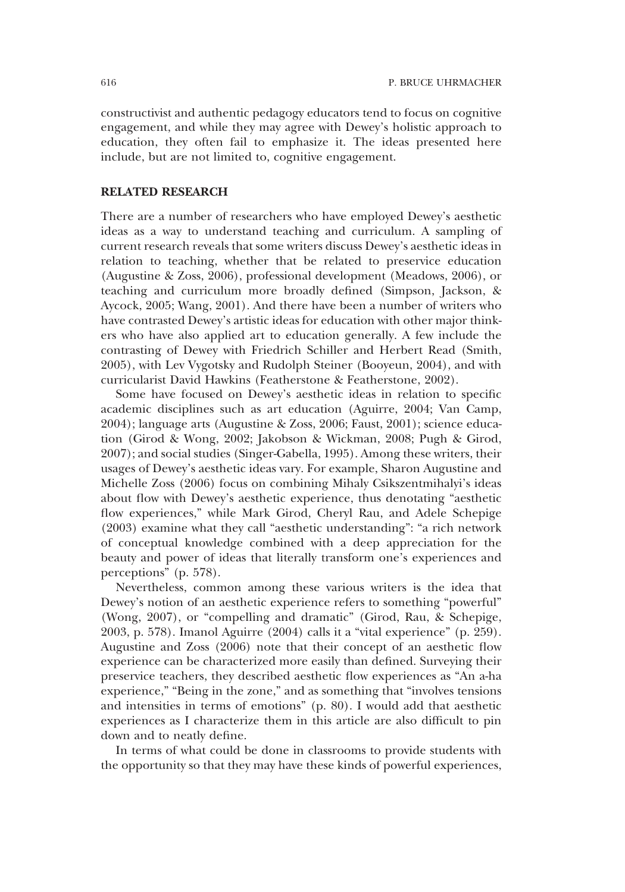constructivist and authentic pedagogy educators tend to focus on cognitive engagement, and while they may agree with Dewey's holistic approach to education, they often fail to emphasize it. The ideas presented here include, but are not limited to, cognitive engagement.

# **RELATED RESEARCH**

There are a number of researchers who have employed Dewey's aesthetic ideas as a way to understand teaching and curriculum. A sampling of current research reveals that some writers discuss Dewey's aesthetic ideas in relation to teaching, whether that be related to preservice education (Augustine & Zoss, 2006), professional development (Meadows, 2006), or teaching and curriculum more broadly defined (Simpson, Jackson, & Aycock, 2005; Wang, 2001). And there have been a number of writers who have contrasted Dewey's artistic ideas for education with other major thinkers who have also applied art to education generally. A few include the contrasting of Dewey with Friedrich Schiller and Herbert Read (Smith, 2005), with Lev Vygotsky and Rudolph Steiner (Booyeun, 2004), and with curricularist David Hawkins (Featherstone & Featherstone, 2002).

Some have focused on Dewey's aesthetic ideas in relation to specific academic disciplines such as art education (Aguirre, 2004; Van Camp, 2004); language arts (Augustine & Zoss, 2006; Faust, 2001); science education (Girod & Wong, 2002; Jakobson & Wickman, 2008; Pugh & Girod, 2007); and social studies (Singer-Gabella, 1995). Among these writers, their usages of Dewey's aesthetic ideas vary. For example, Sharon Augustine and Michelle Zoss (2006) focus on combining Mihaly Csikszentmihalyi's ideas about flow with Dewey's aesthetic experience, thus denotating "aesthetic flow experiences," while Mark Girod, Cheryl Rau, and Adele Schepige (2003) examine what they call "aesthetic understanding": "a rich network of conceptual knowledge combined with a deep appreciation for the beauty and power of ideas that literally transform one's experiences and perceptions" (p. 578).

Nevertheless, common among these various writers is the idea that Dewey's notion of an aesthetic experience refers to something "powerful" (Wong, 2007), or "compelling and dramatic" (Girod, Rau, & Schepige, 2003, p. 578). Imanol Aguirre (2004) calls it a "vital experience" (p. 259). Augustine and Zoss (2006) note that their concept of an aesthetic flow experience can be characterized more easily than defined. Surveying their preservice teachers, they described aesthetic flow experiences as "An a-ha experience," "Being in the zone," and as something that "involves tensions and intensities in terms of emotions" (p. 80). I would add that aesthetic experiences as I characterize them in this article are also difficult to pin down and to neatly define.

In terms of what could be done in classrooms to provide students with the opportunity so that they may have these kinds of powerful experiences,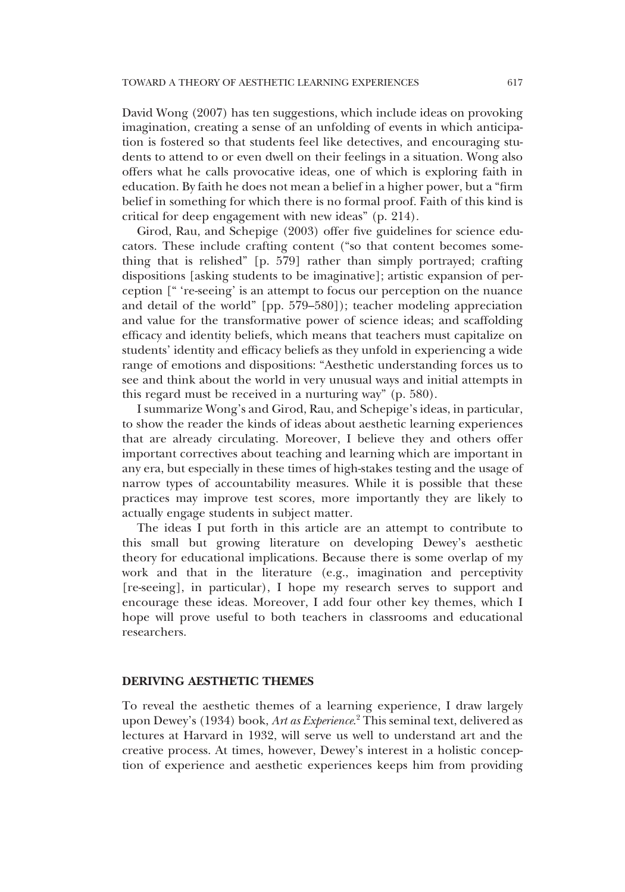David Wong (2007) has ten suggestions, which include ideas on provoking imagination, creating a sense of an unfolding of events in which anticipation is fostered so that students feel like detectives, and encouraging students to attend to or even dwell on their feelings in a situation. Wong also offers what he calls provocative ideas, one of which is exploring faith in education. By faith he does not mean a belief in a higher power, but a "firm belief in something for which there is no formal proof. Faith of this kind is critical for deep engagement with new ideas" (p. 214).

Girod, Rau, and Schepige (2003) offer five guidelines for science educators. These include crafting content ("so that content becomes something that is relished" [p. 579] rather than simply portrayed; crafting dispositions [asking students to be imaginative]; artistic expansion of perception [" 're-seeing' is an attempt to focus our perception on the nuance and detail of the world" [pp. 579–580]); teacher modeling appreciation and value for the transformative power of science ideas; and scaffolding efficacy and identity beliefs, which means that teachers must capitalize on students' identity and efficacy beliefs as they unfold in experiencing a wide range of emotions and dispositions: "Aesthetic understanding forces us to see and think about the world in very unusual ways and initial attempts in this regard must be received in a nurturing way" (p. 580).

I summarize Wong's and Girod, Rau, and Schepige's ideas, in particular, to show the reader the kinds of ideas about aesthetic learning experiences that are already circulating. Moreover, I believe they and others offer important correctives about teaching and learning which are important in any era, but especially in these times of high-stakes testing and the usage of narrow types of accountability measures. While it is possible that these practices may improve test scores, more importantly they are likely to actually engage students in subject matter.

The ideas I put forth in this article are an attempt to contribute to this small but growing literature on developing Dewey's aesthetic theory for educational implications. Because there is some overlap of my work and that in the literature (e.g., imagination and perceptivity [re-seeing], in particular), I hope my research serves to support and encourage these ideas. Moreover, I add four other key themes, which I hope will prove useful to both teachers in classrooms and educational researchers.

#### **DERIVING AESTHETIC THEMES**

To reveal the aesthetic themes of a learning experience, I draw largely upon Dewey's (1934) book, *Art as Experience*. <sup>2</sup> This seminal text, delivered as lectures at Harvard in 1932, will serve us well to understand art and the creative process. At times, however, Dewey's interest in a holistic conception of experience and aesthetic experiences keeps him from providing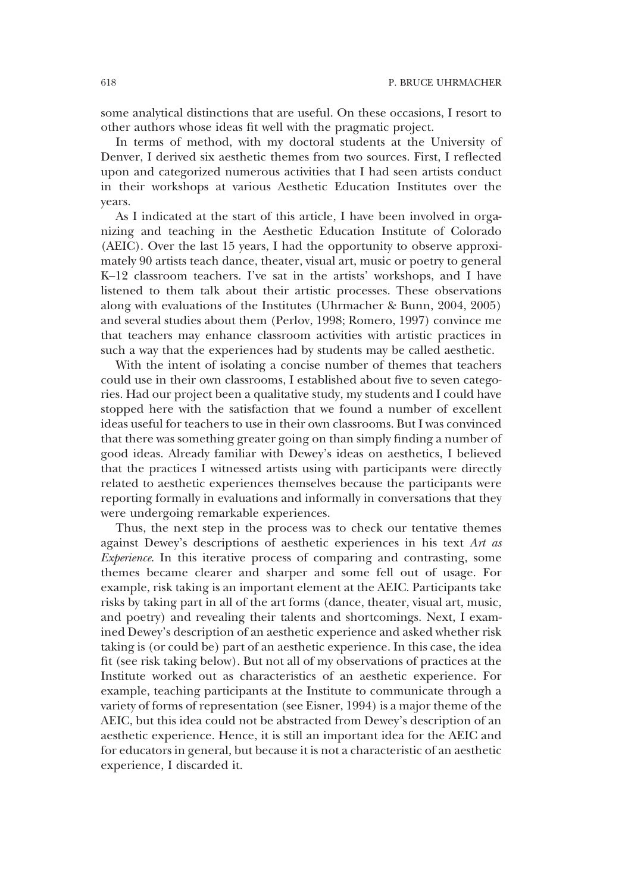some analytical distinctions that are useful. On these occasions, I resort to other authors whose ideas fit well with the pragmatic project.

In terms of method, with my doctoral students at the University of Denver, I derived six aesthetic themes from two sources. First, I reflected upon and categorized numerous activities that I had seen artists conduct in their workshops at various Aesthetic Education Institutes over the years.

As I indicated at the start of this article, I have been involved in organizing and teaching in the Aesthetic Education Institute of Colorado (AEIC). Over the last 15 years, I had the opportunity to observe approximately 90 artists teach dance, theater, visual art, music or poetry to general K–12 classroom teachers. I've sat in the artists' workshops, and I have listened to them talk about their artistic processes. These observations along with evaluations of the Institutes (Uhrmacher & Bunn, 2004, 2005) and several studies about them (Perlov, 1998; Romero, 1997) convince me that teachers may enhance classroom activities with artistic practices in such a way that the experiences had by students may be called aesthetic.

With the intent of isolating a concise number of themes that teachers could use in their own classrooms, I established about five to seven categories. Had our project been a qualitative study, my students and I could have stopped here with the satisfaction that we found a number of excellent ideas useful for teachers to use in their own classrooms. But I was convinced that there was something greater going on than simply finding a number of good ideas. Already familiar with Dewey's ideas on aesthetics, I believed that the practices I witnessed artists using with participants were directly related to aesthetic experiences themselves because the participants were reporting formally in evaluations and informally in conversations that they were undergoing remarkable experiences.

Thus, the next step in the process was to check our tentative themes against Dewey's descriptions of aesthetic experiences in his text *Art as Experience*. In this iterative process of comparing and contrasting, some themes became clearer and sharper and some fell out of usage. For example, risk taking is an important element at the AEIC. Participants take risks by taking part in all of the art forms (dance, theater, visual art, music, and poetry) and revealing their talents and shortcomings. Next, I examined Dewey's description of an aesthetic experience and asked whether risk taking is (or could be) part of an aesthetic experience. In this case, the idea fit (see risk taking below). But not all of my observations of practices at the Institute worked out as characteristics of an aesthetic experience. For example, teaching participants at the Institute to communicate through a variety of forms of representation (see Eisner, 1994) is a major theme of the AEIC, but this idea could not be abstracted from Dewey's description of an aesthetic experience. Hence, it is still an important idea for the AEIC and for educators in general, but because it is not a characteristic of an aesthetic experience, I discarded it.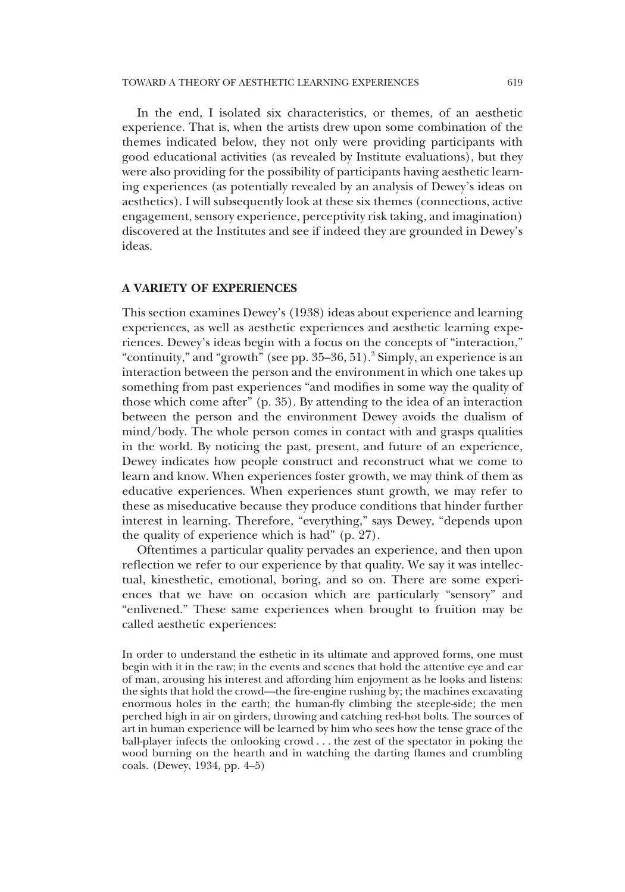In the end, I isolated six characteristics, or themes, of an aesthetic experience. That is, when the artists drew upon some combination of the themes indicated below, they not only were providing participants with good educational activities (as revealed by Institute evaluations), but they were also providing for the possibility of participants having aesthetic learning experiences (as potentially revealed by an analysis of Dewey's ideas on aesthetics). I will subsequently look at these six themes (connections, active engagement, sensory experience, perceptivity risk taking, and imagination) discovered at the Institutes and see if indeed they are grounded in Dewey's ideas.

#### **A VARIETY OF EXPERIENCES**

This section examines Dewey's (1938) ideas about experience and learning experiences, as well as aesthetic experiences and aesthetic learning experiences. Dewey's ideas begin with a focus on the concepts of "interaction," "continuity," and "growth" (see pp.  $35-36, 51$ ).  $3$  Simply, an experience is an interaction between the person and the environment in which one takes up something from past experiences "and modifies in some way the quality of those which come after" (p. 35). By attending to the idea of an interaction between the person and the environment Dewey avoids the dualism of mind/body. The whole person comes in contact with and grasps qualities in the world. By noticing the past, present, and future of an experience, Dewey indicates how people construct and reconstruct what we come to learn and know. When experiences foster growth, we may think of them as educative experiences. When experiences stunt growth, we may refer to these as miseducative because they produce conditions that hinder further interest in learning. Therefore, "everything," says Dewey, "depends upon the quality of experience which is had" (p. 27).

Oftentimes a particular quality pervades an experience, and then upon reflection we refer to our experience by that quality. We say it was intellectual, kinesthetic, emotional, boring, and so on. There are some experiences that we have on occasion which are particularly "sensory" and "enlivened." These same experiences when brought to fruition may be called aesthetic experiences:

In order to understand the esthetic in its ultimate and approved forms, one must begin with it in the raw; in the events and scenes that hold the attentive eye and ear of man, arousing his interest and affording him enjoyment as he looks and listens: the sights that hold the crowd—the fire-engine rushing by; the machines excavating enormous holes in the earth; the human-fly climbing the steeple-side; the men perched high in air on girders, throwing and catching red-hot bolts. The sources of art in human experience will be learned by him who sees how the tense grace of the ball-player infects the onlooking crowd . . . the zest of the spectator in poking the wood burning on the hearth and in watching the darting flames and crumbling coals. (Dewey, 1934, pp. 4–5)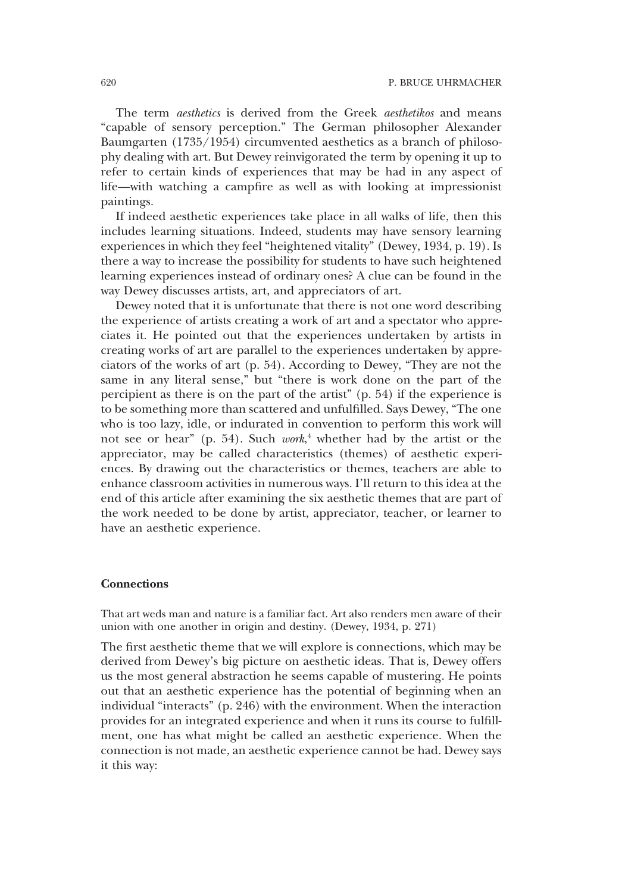The term *aesthetics* is derived from the Greek *aesthetikos* and means "capable of sensory perception." The German philosopher Alexander Baumgarten (1735/1954) circumvented aesthetics as a branch of philosophy dealing with art. But Dewey reinvigorated the term by opening it up to refer to certain kinds of experiences that may be had in any aspect of life—with watching a campfire as well as with looking at impressionist paintings.

If indeed aesthetic experiences take place in all walks of life, then this includes learning situations. Indeed, students may have sensory learning experiences in which they feel "heightened vitality" (Dewey, 1934, p. 19). Is there a way to increase the possibility for students to have such heightened learning experiences instead of ordinary ones? A clue can be found in the way Dewey discusses artists, art, and appreciators of art.

Dewey noted that it is unfortunate that there is not one word describing the experience of artists creating a work of art and a spectator who appreciates it. He pointed out that the experiences undertaken by artists in creating works of art are parallel to the experiences undertaken by appreciators of the works of art (p. 54). According to Dewey, "They are not the same in any literal sense," but "there is work done on the part of the percipient as there is on the part of the artist" (p. 54) if the experience is to be something more than scattered and unfulfilled. Says Dewey, "The one who is too lazy, idle, or indurated in convention to perform this work will not see or hear" (p. 54). Such *work*, <sup>4</sup> whether had by the artist or the appreciator, may be called characteristics (themes) of aesthetic experiences. By drawing out the characteristics or themes, teachers are able to enhance classroom activities in numerous ways. I'll return to this idea at the end of this article after examining the six aesthetic themes that are part of the work needed to be done by artist, appreciator, teacher, or learner to have an aesthetic experience.

#### **Connections**

That art weds man and nature is a familiar fact. Art also renders men aware of their union with one another in origin and destiny. (Dewey, 1934, p. 271)

The first aesthetic theme that we will explore is connections, which may be derived from Dewey's big picture on aesthetic ideas. That is, Dewey offers us the most general abstraction he seems capable of mustering. He points out that an aesthetic experience has the potential of beginning when an individual "interacts" (p. 246) with the environment. When the interaction provides for an integrated experience and when it runs its course to fulfillment, one has what might be called an aesthetic experience. When the connection is not made, an aesthetic experience cannot be had. Dewey says it this way: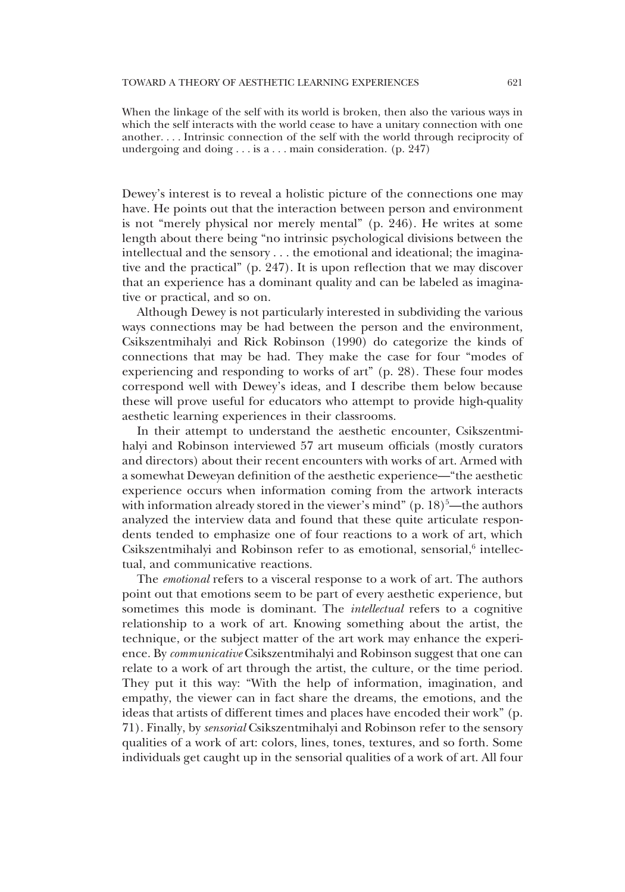When the linkage of the self with its world is broken, then also the various ways in which the self interacts with the world cease to have a unitary connection with one another.... Intrinsic connection of the self with the world through reciprocity of undergoing and doing . . . is a . . . main consideration. (p. 247)

Dewey's interest is to reveal a holistic picture of the connections one may have. He points out that the interaction between person and environment is not "merely physical nor merely mental" (p. 246). He writes at some length about there being "no intrinsic psychological divisions between the intellectual and the sensory . . . the emotional and ideational; the imaginative and the practical" (p. 247). It is upon reflection that we may discover that an experience has a dominant quality and can be labeled as imaginative or practical, and so on.

Although Dewey is not particularly interested in subdividing the various ways connections may be had between the person and the environment, Csikszentmihalyi and Rick Robinson (1990) do categorize the kinds of connections that may be had. They make the case for four "modes of experiencing and responding to works of art" (p. 28). These four modes correspond well with Dewey's ideas, and I describe them below because these will prove useful for educators who attempt to provide high-quality aesthetic learning experiences in their classrooms.

In their attempt to understand the aesthetic encounter, Csikszentmihalyi and Robinson interviewed 57 art museum officials (mostly curators and directors) about their recent encounters with works of art. Armed with a somewhat Deweyan definition of the aesthetic experience—"the aesthetic experience occurs when information coming from the artwork interacts with information already stored in the viewer's mind" (p.  $18)^5$ —the authors analyzed the interview data and found that these quite articulate respondents tended to emphasize one of four reactions to a work of art, which Csikszentmihalyi and Robinson refer to as emotional, sensorial,<sup>6</sup> intellectual, and communicative reactions.

The *emotional* refers to a visceral response to a work of art. The authors point out that emotions seem to be part of every aesthetic experience, but sometimes this mode is dominant. The *intellectual* refers to a cognitive relationship to a work of art. Knowing something about the artist, the technique, or the subject matter of the art work may enhance the experience. By *communicative* Csikszentmihalyi and Robinson suggest that one can relate to a work of art through the artist, the culture, or the time period. They put it this way: "With the help of information, imagination, and empathy, the viewer can in fact share the dreams, the emotions, and the ideas that artists of different times and places have encoded their work" (p. 71). Finally, by *sensorial* Csikszentmihalyi and Robinson refer to the sensory qualities of a work of art: colors, lines, tones, textures, and so forth. Some individuals get caught up in the sensorial qualities of a work of art. All four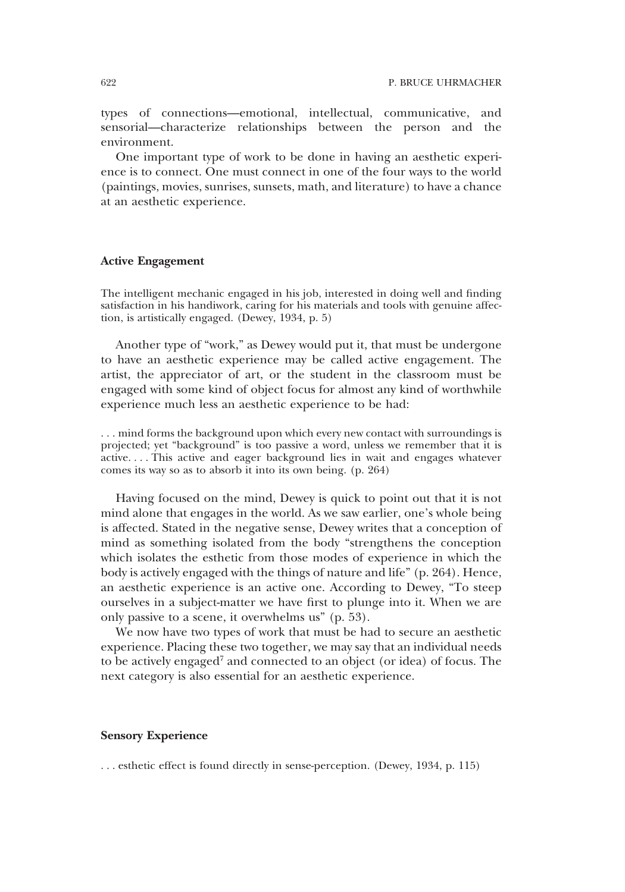types of connections—emotional, intellectual, communicative, and sensorial—characterize relationships between the person and the environment.

One important type of work to be done in having an aesthetic experience is to connect. One must connect in one of the four ways to the world (paintings, movies, sunrises, sunsets, math, and literature) to have a chance at an aesthetic experience.

#### **Active Engagement**

The intelligent mechanic engaged in his job, interested in doing well and finding satisfaction in his handiwork, caring for his materials and tools with genuine affection, is artistically engaged. (Dewey, 1934, p. 5)

Another type of "work," as Dewey would put it, that must be undergone to have an aesthetic experience may be called active engagement. The artist, the appreciator of art, or the student in the classroom must be engaged with some kind of object focus for almost any kind of worthwhile experience much less an aesthetic experience to be had:

. . . mind forms the background upon which every new contact with surroundings is projected; yet "background" is too passive a word, unless we remember that it is active.... This active and eager background lies in wait and engages whatever comes its way so as to absorb it into its own being. (p. 264)

Having focused on the mind, Dewey is quick to point out that it is not mind alone that engages in the world. As we saw earlier, one's whole being is affected. Stated in the negative sense, Dewey writes that a conception of mind as something isolated from the body "strengthens the conception which isolates the esthetic from those modes of experience in which the body is actively engaged with the things of nature and life" (p. 264). Hence, an aesthetic experience is an active one. According to Dewey, "To steep ourselves in a subject-matter we have first to plunge into it. When we are only passive to a scene, it overwhelms us" (p. 53).

We now have two types of work that must be had to secure an aesthetic experience. Placing these two together, we may say that an individual needs to be actively engaged<sup>7</sup> and connected to an object (or idea) of focus. The next category is also essential for an aesthetic experience.

#### **Sensory Experience**

. . . esthetic effect is found directly in sense-perception. (Dewey, 1934, p. 115)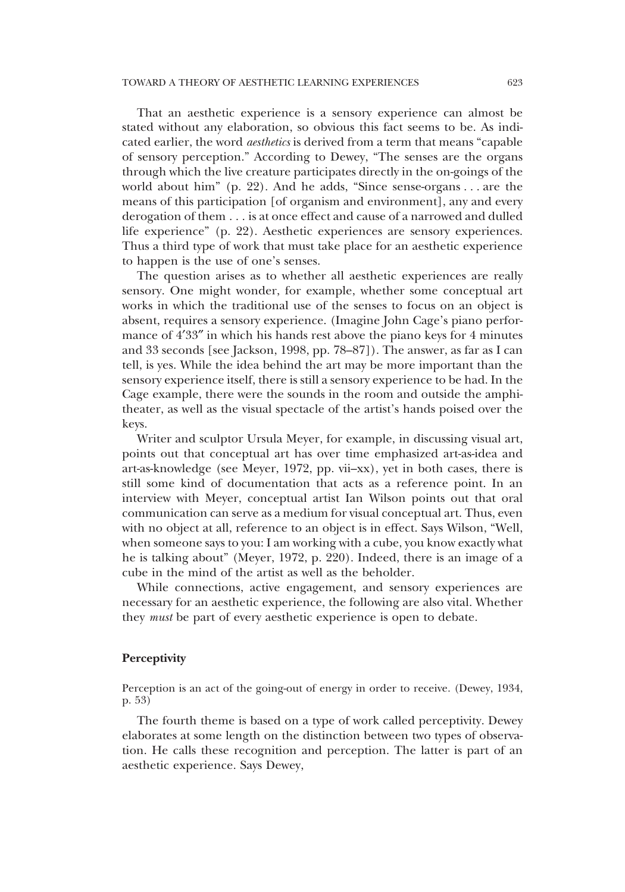That an aesthetic experience is a sensory experience can almost be stated without any elaboration, so obvious this fact seems to be. As indicated earlier, the word *aesthetics* is derived from a term that means "capable of sensory perception." According to Dewey, "The senses are the organs through which the live creature participates directly in the on-goings of the world about him" (p. 22). And he adds, "Since sense-organs . . . are the means of this participation [of organism and environment], any and every derogation of them . . . is at once effect and cause of a narrowed and dulled life experience" (p. 22). Aesthetic experiences are sensory experiences. Thus a third type of work that must take place for an aesthetic experience to happen is the use of one's senses.

The question arises as to whether all aesthetic experiences are really sensory. One might wonder, for example, whether some conceptual art works in which the traditional use of the senses to focus on an object is absent, requires a sensory experience. (Imagine John Cage's piano performance of 4′33″ in which his hands rest above the piano keys for 4 minutes and 33 seconds [see Jackson, 1998, pp. 78–87]). The answer, as far as I can tell, is yes. While the idea behind the art may be more important than the sensory experience itself, there is still a sensory experience to be had. In the Cage example, there were the sounds in the room and outside the amphitheater, as well as the visual spectacle of the artist's hands poised over the keys.

Writer and sculptor Ursula Meyer, for example, in discussing visual art, points out that conceptual art has over time emphasized art-as-idea and art-as-knowledge (see Meyer, 1972, pp. vii–xx), yet in both cases, there is still some kind of documentation that acts as a reference point. In an interview with Meyer, conceptual artist Ian Wilson points out that oral communication can serve as a medium for visual conceptual art. Thus, even with no object at all, reference to an object is in effect. Says Wilson, "Well, when someone says to you: I am working with a cube, you know exactly what he is talking about" (Meyer, 1972, p. 220). Indeed, there is an image of a cube in the mind of the artist as well as the beholder.

While connections, active engagement, and sensory experiences are necessary for an aesthetic experience, the following are also vital. Whether they *must* be part of every aesthetic experience is open to debate.

#### **Perceptivity**

Perception is an act of the going-out of energy in order to receive. (Dewey, 1934, p. 53)

The fourth theme is based on a type of work called perceptivity. Dewey elaborates at some length on the distinction between two types of observation. He calls these recognition and perception. The latter is part of an aesthetic experience. Says Dewey,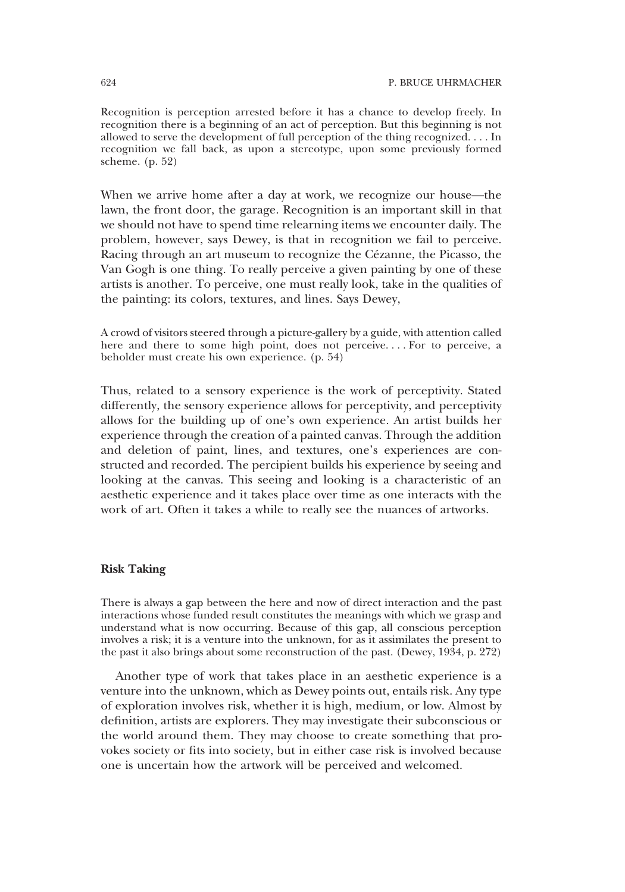Recognition is perception arrested before it has a chance to develop freely. In recognition there is a beginning of an act of perception. But this beginning is not allowed to serve the development of full perception of the thing recognized. . . . In recognition we fall back, as upon a stereotype, upon some previously formed scheme. (p. 52)

When we arrive home after a day at work, we recognize our house—the lawn, the front door, the garage. Recognition is an important skill in that we should not have to spend time relearning items we encounter daily. The problem, however, says Dewey, is that in recognition we fail to perceive. Racing through an art museum to recognize the Cézanne, the Picasso, the Van Gogh is one thing. To really perceive a given painting by one of these artists is another. To perceive, one must really look, take in the qualities of the painting: its colors, textures, and lines. Says Dewey,

A crowd of visitors steered through a picture-gallery by a guide, with attention called here and there to some high point, does not perceive. . . . For to perceive, a beholder must create his own experience. (p. 54)

Thus, related to a sensory experience is the work of perceptivity. Stated differently, the sensory experience allows for perceptivity, and perceptivity allows for the building up of one's own experience. An artist builds her experience through the creation of a painted canvas. Through the addition and deletion of paint, lines, and textures, one's experiences are constructed and recorded. The percipient builds his experience by seeing and looking at the canvas. This seeing and looking is a characteristic of an aesthetic experience and it takes place over time as one interacts with the work of art. Often it takes a while to really see the nuances of artworks.

#### **Risk Taking**

There is always a gap between the here and now of direct interaction and the past interactions whose funded result constitutes the meanings with which we grasp and understand what is now occurring. Because of this gap, all conscious perception involves a risk; it is a venture into the unknown, for as it assimilates the present to the past it also brings about some reconstruction of the past. (Dewey, 1934, p. 272)

Another type of work that takes place in an aesthetic experience is a venture into the unknown, which as Dewey points out, entails risk. Any type of exploration involves risk, whether it is high, medium, or low. Almost by definition, artists are explorers. They may investigate their subconscious or the world around them. They may choose to create something that provokes society or fits into society, but in either case risk is involved because one is uncertain how the artwork will be perceived and welcomed.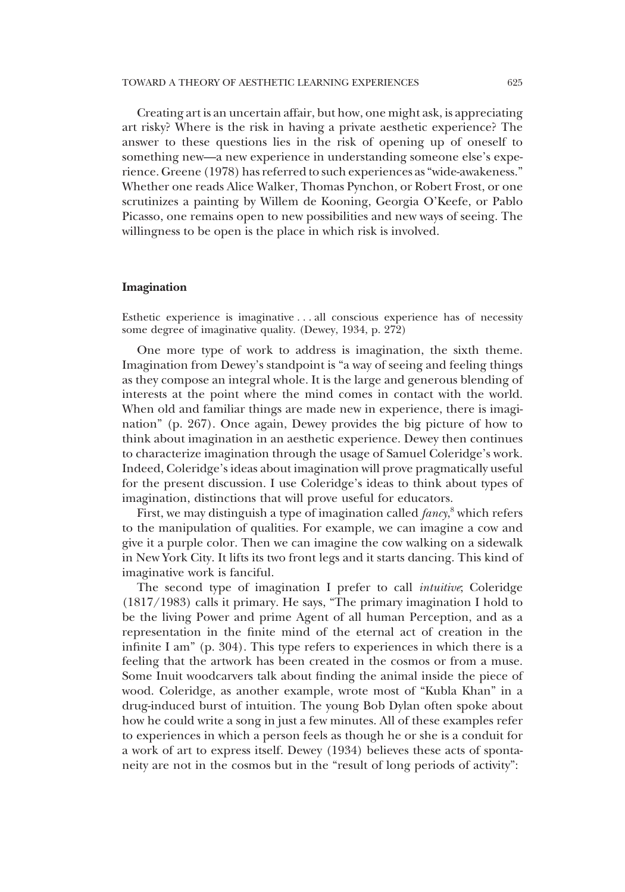#### TOWARD A THEORY OF AESTHETIC LEARNING EXPERIENCES 625

Creating art is an uncertain affair, but how, one might ask, is appreciating art risky? Where is the risk in having a private aesthetic experience? The answer to these questions lies in the risk of opening up of oneself to something new—a new experience in understanding someone else's experience. Greene (1978) has referred to such experiences as "wide-awakeness." Whether one reads Alice Walker, Thomas Pynchon, or Robert Frost, or one scrutinizes a painting by Willem de Kooning, Georgia O'Keefe, or Pablo Picasso, one remains open to new possibilities and new ways of seeing. The willingness to be open is the place in which risk is involved.

## **Imagination**

Esthetic experience is imaginative . . . all conscious experience has of necessity some degree of imaginative quality. (Dewey, 1934, p. 272)

One more type of work to address is imagination, the sixth theme. Imagination from Dewey's standpoint is "a way of seeing and feeling things as they compose an integral whole. It is the large and generous blending of interests at the point where the mind comes in contact with the world. When old and familiar things are made new in experience, there is imagination" (p. 267). Once again, Dewey provides the big picture of how to think about imagination in an aesthetic experience. Dewey then continues to characterize imagination through the usage of Samuel Coleridge's work. Indeed, Coleridge's ideas about imagination will prove pragmatically useful for the present discussion. I use Coleridge's ideas to think about types of imagination, distinctions that will prove useful for educators.

First, we may distinguish a type of imagination called *fancy*, <sup>8</sup> which refers to the manipulation of qualities. For example, we can imagine a cow and give it a purple color. Then we can imagine the cow walking on a sidewalk in New York City. It lifts its two front legs and it starts dancing. This kind of imaginative work is fanciful.

The second type of imagination I prefer to call *intuitive*; Coleridge (1817/1983) calls it primary. He says, "The primary imagination I hold to be the living Power and prime Agent of all human Perception, and as a representation in the finite mind of the eternal act of creation in the infinite I am" (p. 304). This type refers to experiences in which there is a feeling that the artwork has been created in the cosmos or from a muse. Some Inuit woodcarvers talk about finding the animal inside the piece of wood. Coleridge, as another example, wrote most of "Kubla Khan" in a drug-induced burst of intuition. The young Bob Dylan often spoke about how he could write a song in just a few minutes. All of these examples refer to experiences in which a person feels as though he or she is a conduit for a work of art to express itself. Dewey (1934) believes these acts of spontaneity are not in the cosmos but in the "result of long periods of activity":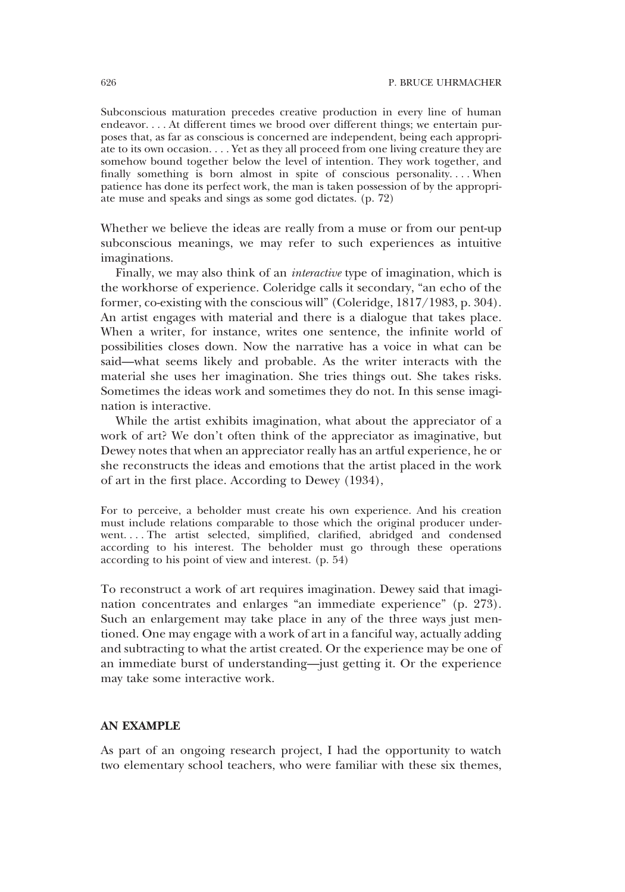Subconscious maturation precedes creative production in every line of human endeavor. . . . At different times we brood over different things; we entertain purposes that, as far as conscious is concerned are independent, being each appropriate to its own occasion. . . . Yet as they all proceed from one living creature they are somehow bound together below the level of intention. They work together, and finally something is born almost in spite of conscious personality. . . . When patience has done its perfect work, the man is taken possession of by the appropriate muse and speaks and sings as some god dictates. (p. 72)

Whether we believe the ideas are really from a muse or from our pent-up subconscious meanings, we may refer to such experiences as intuitive imaginations.

Finally, we may also think of an *interactive* type of imagination, which is the workhorse of experience. Coleridge calls it secondary, "an echo of the former, co-existing with the conscious will" (Coleridge, 1817/1983, p. 304). An artist engages with material and there is a dialogue that takes place. When a writer, for instance, writes one sentence, the infinite world of possibilities closes down. Now the narrative has a voice in what can be said—what seems likely and probable. As the writer interacts with the material she uses her imagination. She tries things out. She takes risks. Sometimes the ideas work and sometimes they do not. In this sense imagination is interactive.

While the artist exhibits imagination, what about the appreciator of a work of art? We don't often think of the appreciator as imaginative, but Dewey notes that when an appreciator really has an artful experience, he or she reconstructs the ideas and emotions that the artist placed in the work of art in the first place. According to Dewey (1934),

For to perceive, a beholder must create his own experience. And his creation must include relations comparable to those which the original producer underwent.... The artist selected, simplified, clarified, abridged and condensed according to his interest. The beholder must go through these operations according to his point of view and interest. (p. 54)

To reconstruct a work of art requires imagination. Dewey said that imagination concentrates and enlarges "an immediate experience" (p. 273). Such an enlargement may take place in any of the three ways just mentioned. One may engage with a work of art in a fanciful way, actually adding and subtracting to what the artist created. Or the experience may be one of an immediate burst of understanding—just getting it. Or the experience may take some interactive work.

#### **AN EXAMPLE**

As part of an ongoing research project, I had the opportunity to watch two elementary school teachers, who were familiar with these six themes,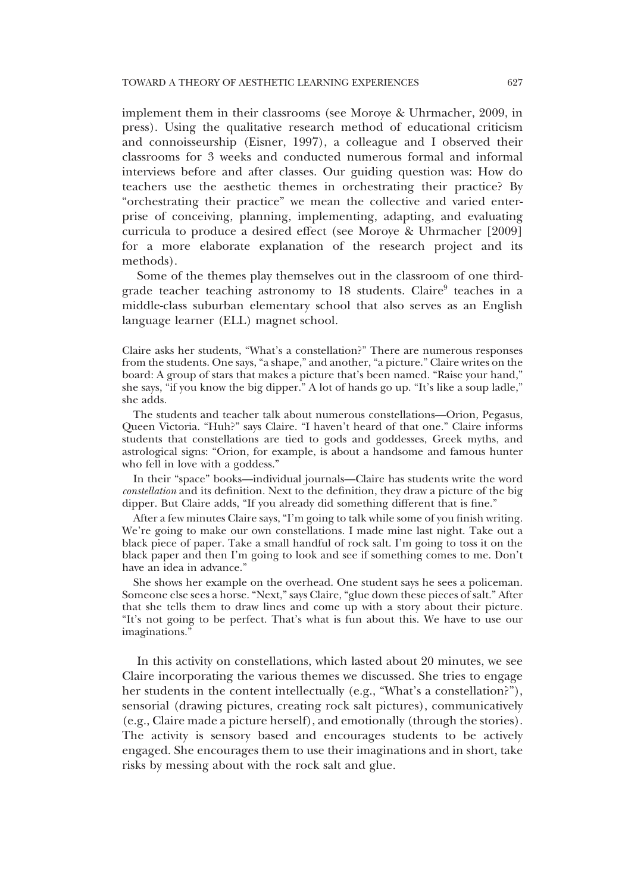implement them in their classrooms (see Moroye & Uhrmacher, 2009, in press). Using the qualitative research method of educational criticism and connoisseurship (Eisner, 1997), a colleague and I observed their classrooms for 3 weeks and conducted numerous formal and informal interviews before and after classes. Our guiding question was: How do teachers use the aesthetic themes in orchestrating their practice? By "orchestrating their practice" we mean the collective and varied enterprise of conceiving, planning, implementing, adapting, and evaluating curricula to produce a desired effect (see Moroye & Uhrmacher [2009] for a more elaborate explanation of the research project and its methods).

Some of the themes play themselves out in the classroom of one thirdgrade teacher teaching astronomy to 18 students. Claire<sup>9</sup> teaches in a middle-class suburban elementary school that also serves as an English language learner (ELL) magnet school.

Claire asks her students, "What's a constellation?" There are numerous responses from the students. One says, "a shape," and another, "a picture." Claire writes on the board: A group of stars that makes a picture that's been named. "Raise your hand," she says, "if you know the big dipper." A lot of hands go up. "It's like a soup ladle," she adds.

The students and teacher talk about numerous constellations—Orion, Pegasus, Queen Victoria. "Huh?" says Claire. "I haven't heard of that one." Claire informs students that constellations are tied to gods and goddesses, Greek myths, and astrological signs: "Orion, for example, is about a handsome and famous hunter who fell in love with a goddess."

In their "space" books—individual journals—Claire has students write the word *constellation* and its definition. Next to the definition, they draw a picture of the big dipper. But Claire adds, "If you already did something different that is fine."

After a few minutes Claire says, "I'm going to talk while some of you finish writing. We're going to make our own constellations. I made mine last night. Take out a black piece of paper. Take a small handful of rock salt. I'm going to toss it on the black paper and then I'm going to look and see if something comes to me. Don't have an idea in advance."

She shows her example on the overhead. One student says he sees a policeman. Someone else sees a horse. "Next," says Claire, "glue down these pieces of salt." After that she tells them to draw lines and come up with a story about their picture. "It's not going to be perfect. That's what is fun about this. We have to use our imaginations."

In this activity on constellations, which lasted about 20 minutes, we see Claire incorporating the various themes we discussed. She tries to engage her students in the content intellectually (e.g., "What's a constellation?"), sensorial (drawing pictures, creating rock salt pictures), communicatively (e.g., Claire made a picture herself), and emotionally (through the stories). The activity is sensory based and encourages students to be actively engaged. She encourages them to use their imaginations and in short, take risks by messing about with the rock salt and glue.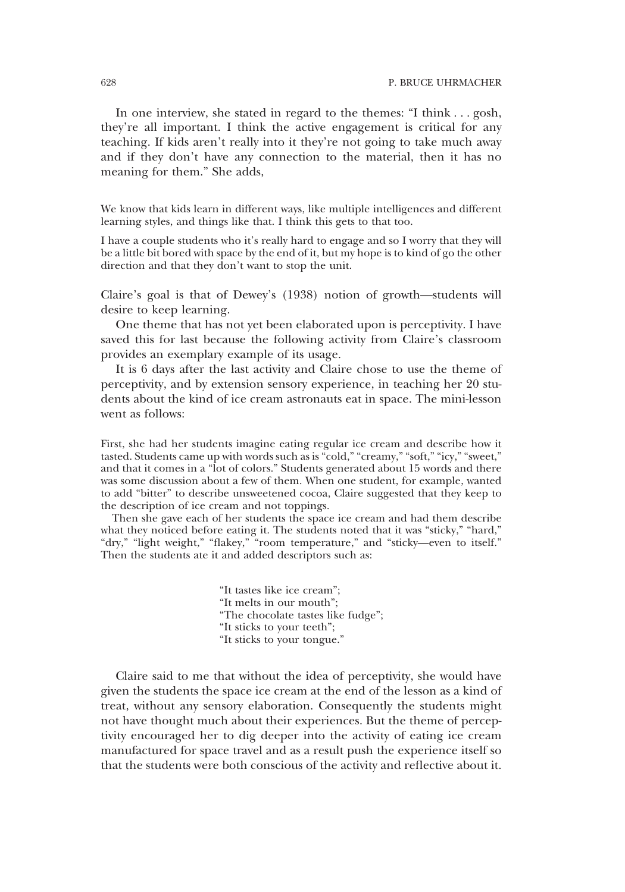In one interview, she stated in regard to the themes: "I think... gosh, they're all important. I think the active engagement is critical for any teaching. If kids aren't really into it they're not going to take much away and if they don't have any connection to the material, then it has no meaning for them." She adds,

We know that kids learn in different ways, like multiple intelligences and different learning styles, and things like that. I think this gets to that too.

I have a couple students who it's really hard to engage and so I worry that they will be a little bit bored with space by the end of it, but my hope is to kind of go the other direction and that they don't want to stop the unit.

Claire's goal is that of Dewey's (1938) notion of growth—students will desire to keep learning.

One theme that has not yet been elaborated upon is perceptivity. I have saved this for last because the following activity from Claire's classroom provides an exemplary example of its usage.

It is 6 days after the last activity and Claire chose to use the theme of perceptivity, and by extension sensory experience, in teaching her 20 students about the kind of ice cream astronauts eat in space. The mini-lesson went as follows:

First, she had her students imagine eating regular ice cream and describe how it tasted. Students came up with words such as is "cold," "creamy," "soft," "icy," "sweet," and that it comes in a "lot of colors." Students generated about 15 words and there was some discussion about a few of them. When one student, for example, wanted to add "bitter" to describe unsweetened cocoa, Claire suggested that they keep to the description of ice cream and not toppings.

Then she gave each of her students the space ice cream and had them describe what they noticed before eating it. The students noted that it was "sticky," "hard," "dry," "light weight," "flakey," "room temperature," and "sticky—even to itself." Then the students ate it and added descriptors such as:

> "It tastes like ice cream"; "It melts in our mouth"; "The chocolate tastes like fudge"; "It sticks to your teeth"; "It sticks to your tongue."

Claire said to me that without the idea of perceptivity, she would have given the students the space ice cream at the end of the lesson as a kind of treat, without any sensory elaboration. Consequently the students might not have thought much about their experiences. But the theme of perceptivity encouraged her to dig deeper into the activity of eating ice cream manufactured for space travel and as a result push the experience itself so that the students were both conscious of the activity and reflective about it.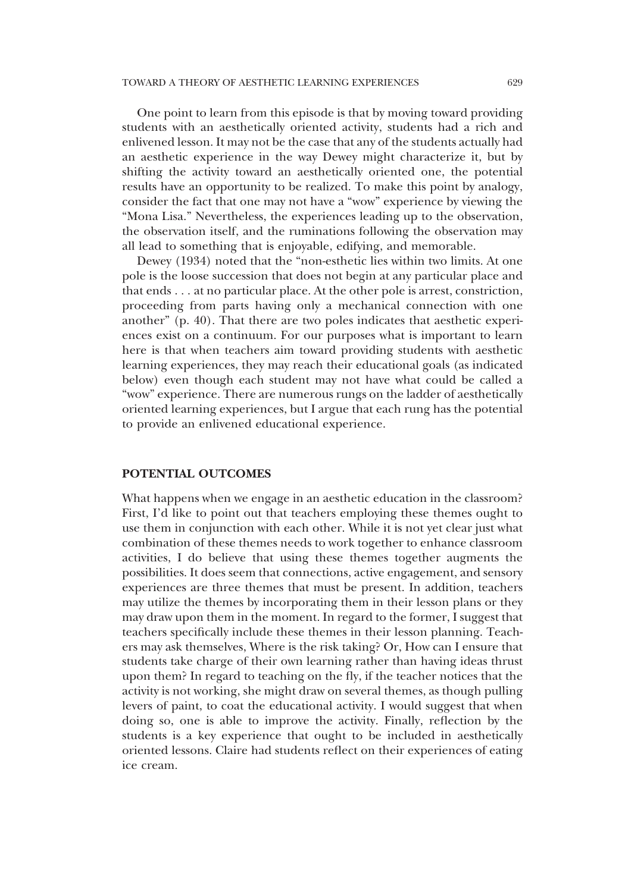#### TOWARD A THEORY OF AESTHETIC LEARNING EXPERIENCES 629

One point to learn from this episode is that by moving toward providing students with an aesthetically oriented activity, students had a rich and enlivened lesson. It may not be the case that any of the students actually had an aesthetic experience in the way Dewey might characterize it, but by shifting the activity toward an aesthetically oriented one, the potential results have an opportunity to be realized. To make this point by analogy, consider the fact that one may not have a "wow" experience by viewing the "Mona Lisa." Nevertheless, the experiences leading up to the observation, the observation itself, and the ruminations following the observation may all lead to something that is enjoyable, edifying, and memorable.

Dewey (1934) noted that the "non-esthetic lies within two limits. At one pole is the loose succession that does not begin at any particular place and that ends . . . at no particular place. At the other pole is arrest, constriction, proceeding from parts having only a mechanical connection with one another" (p. 40). That there are two poles indicates that aesthetic experiences exist on a continuum. For our purposes what is important to learn here is that when teachers aim toward providing students with aesthetic learning experiences, they may reach their educational goals (as indicated below) even though each student may not have what could be called a "wow" experience. There are numerous rungs on the ladder of aesthetically oriented learning experiences, but I argue that each rung has the potential to provide an enlivened educational experience.

#### **POTENTIAL OUTCOMES**

What happens when we engage in an aesthetic education in the classroom? First, I'd like to point out that teachers employing these themes ought to use them in conjunction with each other. While it is not yet clear just what combination of these themes needs to work together to enhance classroom activities, I do believe that using these themes together augments the possibilities. It does seem that connections, active engagement, and sensory experiences are three themes that must be present. In addition, teachers may utilize the themes by incorporating them in their lesson plans or they may draw upon them in the moment. In regard to the former, I suggest that teachers specifically include these themes in their lesson planning. Teachers may ask themselves, Where is the risk taking? Or, How can I ensure that students take charge of their own learning rather than having ideas thrust upon them? In regard to teaching on the fly, if the teacher notices that the activity is not working, she might draw on several themes, as though pulling levers of paint, to coat the educational activity. I would suggest that when doing so, one is able to improve the activity. Finally, reflection by the students is a key experience that ought to be included in aesthetically oriented lessons. Claire had students reflect on their experiences of eating ice cream.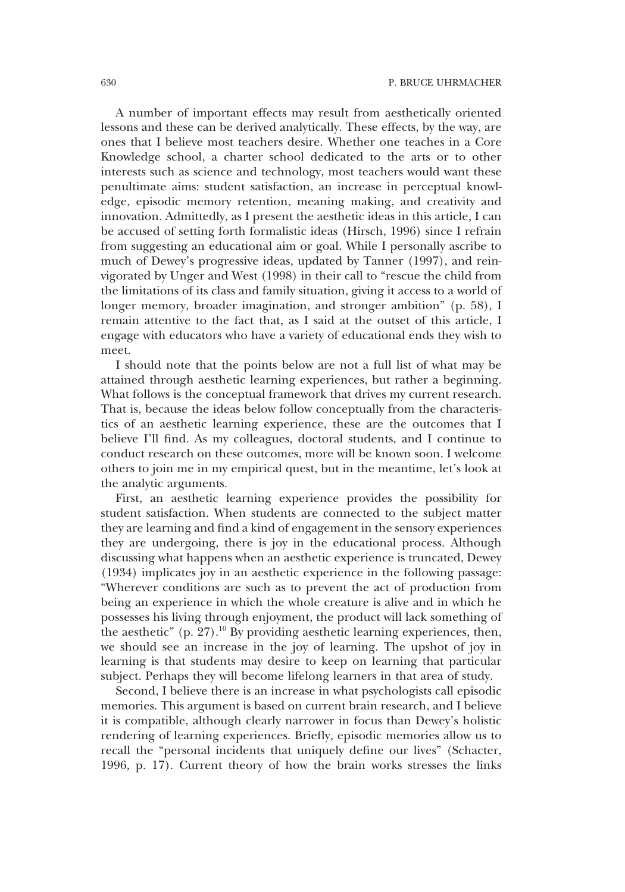A number of important effects may result from aesthetically oriented lessons and these can be derived analytically. These effects, by the way, are ones that I believe most teachers desire. Whether one teaches in a Core Knowledge school, a charter school dedicated to the arts or to other interests such as science and technology, most teachers would want these penultimate aims: student satisfaction, an increase in perceptual knowledge, episodic memory retention, meaning making, and creativity and innovation. Admittedly, as I present the aesthetic ideas in this article, I can be accused of setting forth formalistic ideas (Hirsch, 1996) since I refrain from suggesting an educational aim or goal. While I personally ascribe to much of Dewey's progressive ideas, updated by Tanner (1997), and reinvigorated by Unger and West (1998) in their call to "rescue the child from the limitations of its class and family situation, giving it access to a world of longer memory, broader imagination, and stronger ambition" (p. 58), I remain attentive to the fact that, as I said at the outset of this article, I engage with educators who have a variety of educational ends they wish to meet.

I should note that the points below are not a full list of what may be attained through aesthetic learning experiences, but rather a beginning. What follows is the conceptual framework that drives my current research. That is, because the ideas below follow conceptually from the characteristics of an aesthetic learning experience, these are the outcomes that I believe I'll find. As my colleagues, doctoral students, and I continue to conduct research on these outcomes, more will be known soon. I welcome others to join me in my empirical quest, but in the meantime, let's look at the analytic arguments.

First, an aesthetic learning experience provides the possibility for student satisfaction. When students are connected to the subject matter they are learning and find a kind of engagement in the sensory experiences they are undergoing, there is joy in the educational process. Although discussing what happens when an aesthetic experience is truncated, Dewey (1934) implicates joy in an aesthetic experience in the following passage: "Wherever conditions are such as to prevent the act of production from being an experience in which the whole creature is alive and in which he possesses his living through enjoyment, the product will lack something of the aesthetic" (p.  $27$ ).<sup>10</sup> By providing aesthetic learning experiences, then, we should see an increase in the joy of learning. The upshot of joy in learning is that students may desire to keep on learning that particular subject. Perhaps they will become lifelong learners in that area of study.

Second, I believe there is an increase in what psychologists call episodic memories. This argument is based on current brain research, and I believe it is compatible, although clearly narrower in focus than Dewey's holistic rendering of learning experiences. Briefly, episodic memories allow us to recall the "personal incidents that uniquely define our lives" (Schacter, 1996, p. 17). Current theory of how the brain works stresses the links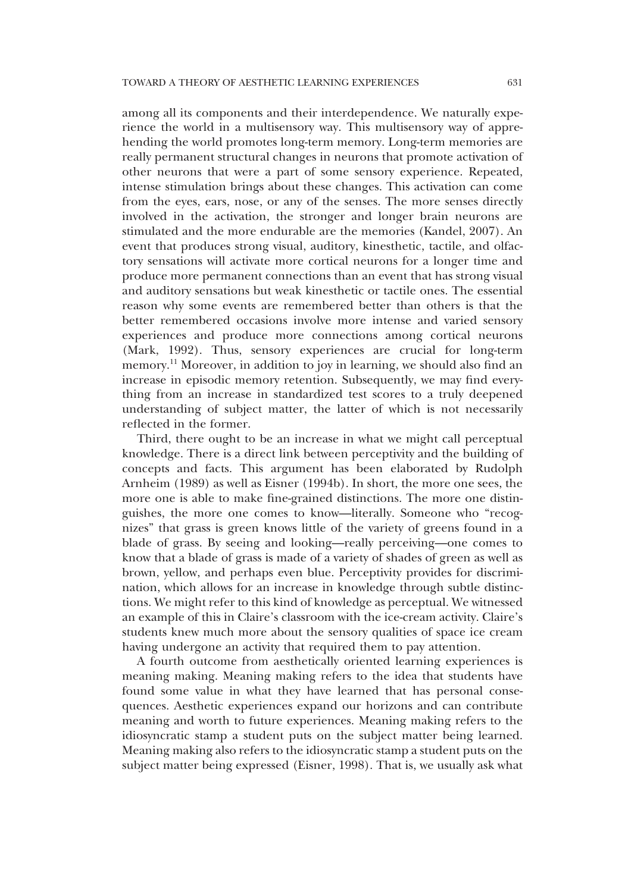among all its components and their interdependence. We naturally experience the world in a multisensory way. This multisensory way of apprehending the world promotes long-term memory. Long-term memories are really permanent structural changes in neurons that promote activation of other neurons that were a part of some sensory experience. Repeated, intense stimulation brings about these changes. This activation can come from the eyes, ears, nose, or any of the senses. The more senses directly involved in the activation, the stronger and longer brain neurons are stimulated and the more endurable are the memories (Kandel, 2007). An event that produces strong visual, auditory, kinesthetic, tactile, and olfactory sensations will activate more cortical neurons for a longer time and produce more permanent connections than an event that has strong visual and auditory sensations but weak kinesthetic or tactile ones. The essential reason why some events are remembered better than others is that the better remembered occasions involve more intense and varied sensory experiences and produce more connections among cortical neurons (Mark, 1992). Thus, sensory experiences are crucial for long-term memory.<sup>11</sup> Moreover, in addition to joy in learning, we should also find an increase in episodic memory retention. Subsequently, we may find everything from an increase in standardized test scores to a truly deepened understanding of subject matter, the latter of which is not necessarily reflected in the former.

Third, there ought to be an increase in what we might call perceptual knowledge. There is a direct link between perceptivity and the building of concepts and facts. This argument has been elaborated by Rudolph Arnheim (1989) as well as Eisner (1994b). In short, the more one sees, the more one is able to make fine-grained distinctions. The more one distinguishes, the more one comes to know—literally. Someone who "recognizes" that grass is green knows little of the variety of greens found in a blade of grass. By seeing and looking—really perceiving—one comes to know that a blade of grass is made of a variety of shades of green as well as brown, yellow, and perhaps even blue. Perceptivity provides for discrimination, which allows for an increase in knowledge through subtle distinctions. We might refer to this kind of knowledge as perceptual. We witnessed an example of this in Claire's classroom with the ice-cream activity. Claire's students knew much more about the sensory qualities of space ice cream having undergone an activity that required them to pay attention.

A fourth outcome from aesthetically oriented learning experiences is meaning making. Meaning making refers to the idea that students have found some value in what they have learned that has personal consequences. Aesthetic experiences expand our horizons and can contribute meaning and worth to future experiences. Meaning making refers to the idiosyncratic stamp a student puts on the subject matter being learned. Meaning making also refers to the idiosyncratic stamp a student puts on the subject matter being expressed (Eisner, 1998). That is, we usually ask what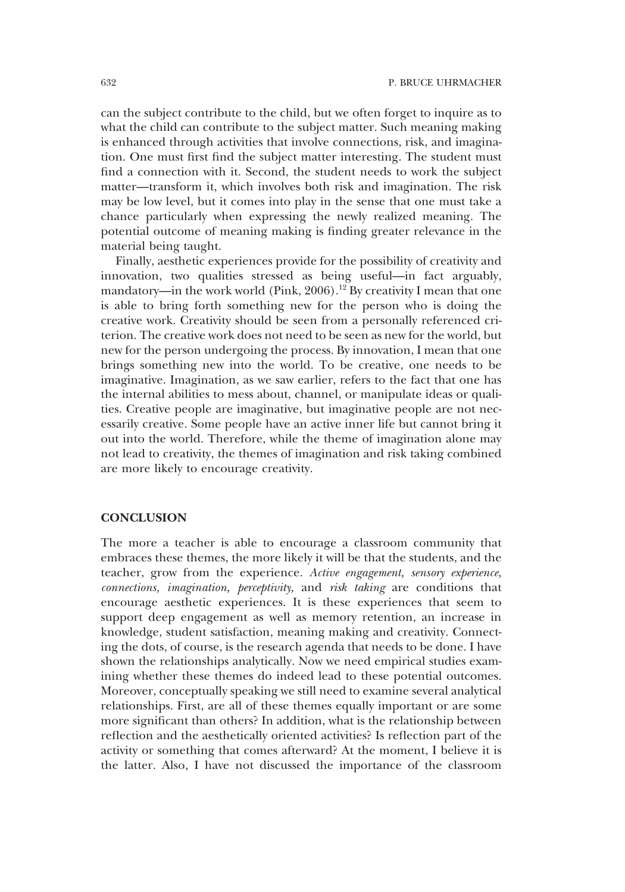can the subject contribute to the child, but we often forget to inquire as to what the child can contribute to the subject matter. Such meaning making is enhanced through activities that involve connections, risk, and imagination. One must first find the subject matter interesting. The student must find a connection with it. Second, the student needs to work the subject matter—transform it, which involves both risk and imagination. The risk may be low level, but it comes into play in the sense that one must take a chance particularly when expressing the newly realized meaning. The potential outcome of meaning making is finding greater relevance in the material being taught.

Finally, aesthetic experiences provide for the possibility of creativity and innovation, two qualities stressed as being useful—in fact arguably, mandatory—in the work world (Pink, 2006).<sup>12</sup> By creativity I mean that one is able to bring forth something new for the person who is doing the creative work. Creativity should be seen from a personally referenced criterion. The creative work does not need to be seen as new for the world, but new for the person undergoing the process. By innovation, I mean that one brings something new into the world. To be creative, one needs to be imaginative. Imagination, as we saw earlier, refers to the fact that one has the internal abilities to mess about, channel, or manipulate ideas or qualities. Creative people are imaginative, but imaginative people are not necessarily creative. Some people have an active inner life but cannot bring it out into the world. Therefore, while the theme of imagination alone may not lead to creativity, the themes of imagination and risk taking combined are more likely to encourage creativity.

## **CONCLUSION**

The more a teacher is able to encourage a classroom community that embraces these themes, the more likely it will be that the students, and the teacher, grow from the experience. *Active engagement, sensory experience, connections, imagination, perceptivity,* and *risk taking* are conditions that encourage aesthetic experiences. It is these experiences that seem to support deep engagement as well as memory retention, an increase in knowledge, student satisfaction, meaning making and creativity. Connecting the dots, of course, is the research agenda that needs to be done. I have shown the relationships analytically. Now we need empirical studies examining whether these themes do indeed lead to these potential outcomes. Moreover, conceptually speaking we still need to examine several analytical relationships. First, are all of these themes equally important or are some more significant than others? In addition, what is the relationship between reflection and the aesthetically oriented activities? Is reflection part of the activity or something that comes afterward? At the moment, I believe it is the latter. Also, I have not discussed the importance of the classroom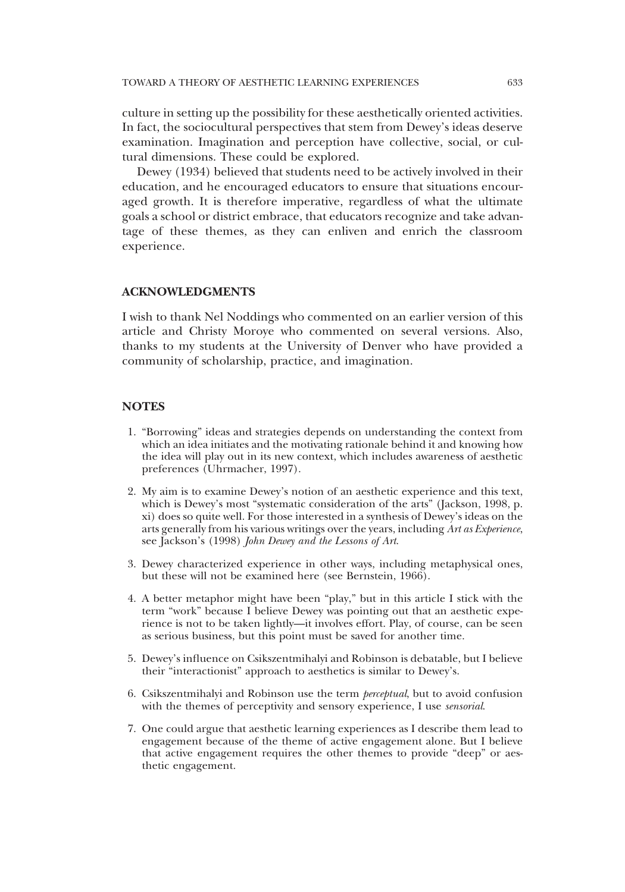culture in setting up the possibility for these aesthetically oriented activities. In fact, the sociocultural perspectives that stem from Dewey's ideas deserve examination. Imagination and perception have collective, social, or cultural dimensions. These could be explored.

Dewey (1934) believed that students need to be actively involved in their education, and he encouraged educators to ensure that situations encouraged growth. It is therefore imperative, regardless of what the ultimate goals a school or district embrace, that educators recognize and take advantage of these themes, as they can enliven and enrich the classroom experience.

#### **ACKNOWLEDGMENTS**

I wish to thank Nel Noddings who commented on an earlier version of this article and Christy Moroye who commented on several versions. Also, thanks to my students at the University of Denver who have provided a community of scholarship, practice, and imagination.

### **NOTES**

- 1. "Borrowing" ideas and strategies depends on understanding the context from which an idea initiates and the motivating rationale behind it and knowing how the idea will play out in its new context, which includes awareness of aesthetic preferences (Uhrmacher, 1997).
- 2. My aim is to examine Dewey's notion of an aesthetic experience and this text, which is Dewey's most "systematic consideration of the arts" (Jackson, 1998, p. xi) does so quite well. For those interested in a synthesis of Dewey's ideas on the arts generally from his various writings over the years, including *Art as Experience*, see Jackson's (1998) *John Dewey and the Lessons of Art*.
- 3. Dewey characterized experience in other ways, including metaphysical ones, but these will not be examined here (see Bernstein, 1966).
- 4. A better metaphor might have been "play," but in this article I stick with the term "work" because I believe Dewey was pointing out that an aesthetic experience is not to be taken lightly—it involves effort. Play, of course, can be seen as serious business, but this point must be saved for another time.
- 5. Dewey's influence on Csikszentmihalyi and Robinson is debatable, but I believe their "interactionist" approach to aesthetics is similar to Dewey's.
- 6. Csikszentmihalyi and Robinson use the term *perceptual*, but to avoid confusion with the themes of perceptivity and sensory experience, I use *sensorial*.
- 7. One could argue that aesthetic learning experiences as I describe them lead to engagement because of the theme of active engagement alone. But I believe that active engagement requires the other themes to provide "deep" or aesthetic engagement.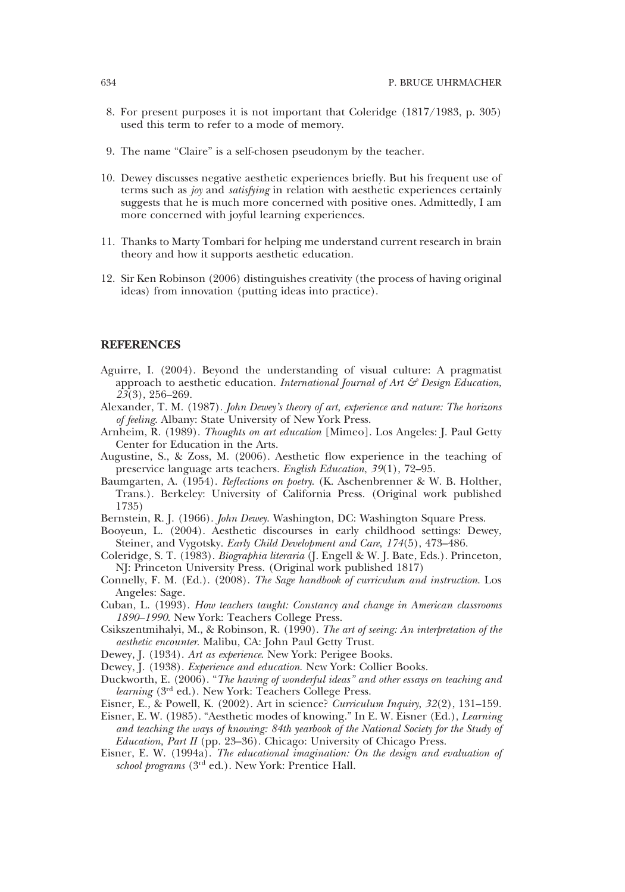- 8. For present purposes it is not important that Coleridge (1817/1983, p. 305) used this term to refer to a mode of memory.
- 9. The name "Claire" is a self-chosen pseudonym by the teacher.
- 10. Dewey discusses negative aesthetic experiences briefly. But his frequent use of terms such as *joy* and *satisfying* in relation with aesthetic experiences certainly suggests that he is much more concerned with positive ones. Admittedly, I am more concerned with joyful learning experiences.
- 11. Thanks to Marty Tombari for helping me understand current research in brain theory and how it supports aesthetic education.
- 12. Sir Ken Robinson (2006) distinguishes creativity (the process of having original ideas) from innovation (putting ideas into practice).

#### **REFERENCES**

- Aguirre, I. (2004). Beyond the understanding of visual culture: A pragmatist approach to aesthetic education. *International Journal of Art & Design Education*, *23*(3), 256–269.
- Alexander, T. M. (1987). *John Dewey's theory of art, experience and nature: The horizons of feeling*. Albany: State University of New York Press.
- Arnheim, R. (1989). *Thoughts on art education* [Mimeo]. Los Angeles: J. Paul Getty Center for Education in the Arts.
- Augustine, S., & Zoss, M. (2006). Aesthetic flow experience in the teaching of preservice language arts teachers. *English Education*, *39*(1), 72–95.
- Baumgarten, A. (1954). *Reflections on poetry*. (K. Aschenbrenner & W. B. Holther, Trans.). Berkeley: University of California Press. (Original work published 1735)
- Bernstein, R. J. (1966). *John Dewey*. Washington, DC: Washington Square Press.
- Booyeun, L. (2004). Aesthetic discourses in early childhood settings: Dewey, Steiner, and Vygotsky. *Early Child Development and Care*, *174*(5), 473–486.
- Coleridge, S. T. (1983). *Biographia literaria* (J. Engell & W. J. Bate, Eds.). Princeton, NJ: Princeton University Press. (Original work published 1817)
- Connelly, F. M. (Ed.). (2008). *The Sage handbook of curriculum and instruction*. Los Angeles: Sage.
- Cuban, L. (1993). *How teachers taught: Constancy and change in American classrooms 1890–1990*. New York: Teachers College Press.
- Csikszentmihalyi, M., & Robinson, R. (1990). *The art of seeing: An interpretation of the aesthetic encounter*. Malibu, CA: John Paul Getty Trust.
- Dewey, J. (1934). *Art as experience*. New York: Perigee Books.
- Dewey, J. (1938). *Experience and education*. New York: Collier Books.
- Duckworth, E. (2006). "*The having of wonderful ideas" and other essays on teaching and learning* (3rd ed.). New York: Teachers College Press.
- Eisner, E., & Powell, K. (2002). Art in science? *Curriculum Inquiry*, *32*(2), 131–159.
- Eisner, E. W. (1985). "Aesthetic modes of knowing." In E. W. Eisner (Ed.), *Learning and teaching the ways of knowing: 84th yearbook of the National Society for the Study of Education, Part II* (pp. 23–36). Chicago: University of Chicago Press.
- Eisner, E. W. (1994a). *The educational imagination: On the design and evaluation of school programs* (3rd ed.). New York: Prentice Hall.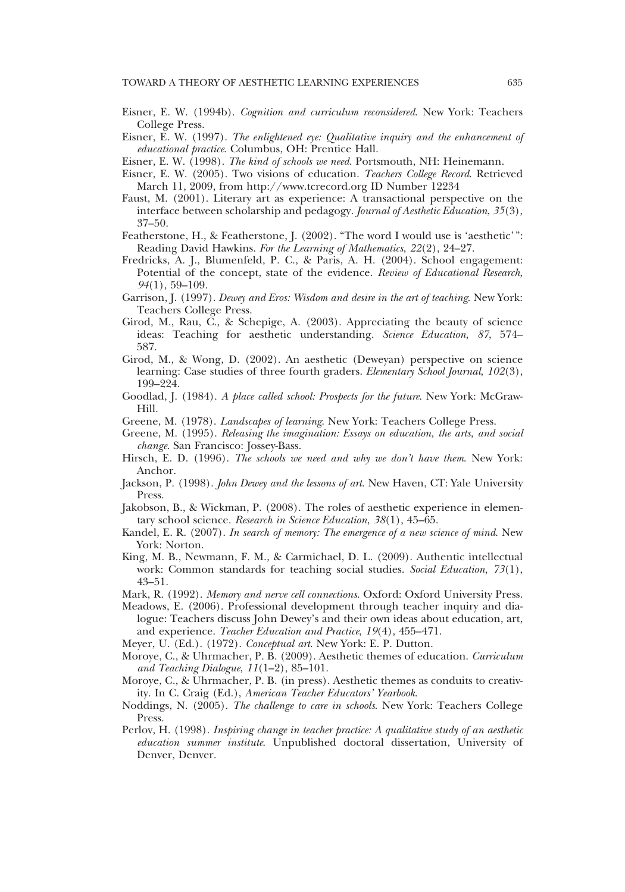- Eisner, E. W. (1994b). *Cognition and curriculum reconsidered*. New York: Teachers College Press.
- Eisner, E. W. (1997). *The enlightened eye: Qualitative inquiry and the enhancement of educational practice*. Columbus, OH: Prentice Hall.
- Eisner, E. W. (1998). *The kind of schools we need*. Portsmouth, NH: Heinemann.
- Eisner, E. W. (2005). Two visions of education. *Teachers College Record*. Retrieved March 11, 2009, from http://www.tcrecord.org ID Number 12234
- Faust, M. (2001). Literary art as experience: A transactional perspective on the interface between scholarship and pedagogy. *Journal of Aesthetic Education*, *35*(3), 37–50.
- Featherstone, H., & Featherstone, J. (2002). "The word I would use is 'aesthetic'": Reading David Hawkins. *For the Learning of Mathematics*, *22*(2), 24–27.
- Fredricks, A. J., Blumenfeld, P. C., & Paris, A. H. (2004). School engagement: Potential of the concept, state of the evidence. *Review of Educational Research*, *94*(1), 59–109.
- Garrison, J. (1997). *Dewey and Eros: Wisdom and desire in the art of teaching*. New York: Teachers College Press.
- Girod, M., Rau, C., & Schepige, A. (2003). Appreciating the beauty of science ideas: Teaching for aesthetic understanding. *Science Education*, *87*, 574– 587.
- Girod, M., & Wong, D. (2002). An aesthetic (Deweyan) perspective on science learning: Case studies of three fourth graders. *Elementary School Journal*, *102*(3), 199–224.
- Goodlad, J. (1984). *A place called school: Prospects for the future*. New York: McGraw-Hill.
- Greene, M. (1978). *Landscapes of learning*. New York: Teachers College Press.
- Greene, M. (1995). *Releasing the imagination: Essays on education, the arts, and social change*. San Francisco: Jossey-Bass.
- Hirsch, E. D. (1996). *The schools we need and why we don't have them*. New York: Anchor.
- Jackson, P. (1998). *John Dewey and the lessons of art*. New Haven, CT: Yale University Press.
- Jakobson, B., & Wickman, P. (2008). The roles of aesthetic experience in elementary school science. *Research in Science Education*, *38*(1), 45–65.
- Kandel, E. R. (2007). *In search of memory: The emergence of a new science of mind*. New York: Norton.
- King, M. B., Newmann, F. M., & Carmichael, D. L. (2009). Authentic intellectual work: Common standards for teaching social studies. *Social Education*, *73*(1), 43–51.
- Mark, R. (1992). *Memory and nerve cell connections*. Oxford: Oxford University Press.
- Meadows, E. (2006). Professional development through teacher inquiry and dialogue: Teachers discuss John Dewey's and their own ideas about education, art, and experience. *Teacher Education and Practice*, *19*(4), 455–471.
- Meyer, U. (Ed.). (1972). *Conceptual art*. New York: E. P. Dutton.
- Moroye, C., & Uhrmacher, P. B. (2009). Aesthetic themes of education. *Curriculum and Teaching Dialogue*, *11*(1–2), 85–101.
- Moroye, C., & Uhrmacher, P. B. (in press). Aesthetic themes as conduits to creativity. In C. Craig (Ed.), *American Teacher Educators' Yearbook*.
- Noddings, N. (2005). *The challenge to care in schools*. New York: Teachers College Press.
- Perlov, H. (1998). *Inspiring change in teacher practice: A qualitative study of an aesthetic education summer institute*. Unpublished doctoral dissertation, University of Denver, Denver.